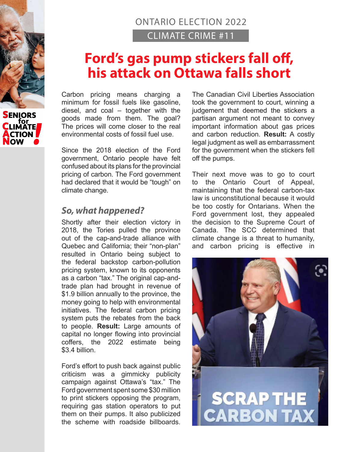## ONTARIO ELECTION 2022 CLIMATE CRIME #11

# **Ford's gas pump stickers fall off, his attack on Ottawa falls short**

Carbon pricing means charging a minimum for fossil fuels like gasoline, diesel, and coal – together with the goods made from them. The goal? The prices will come closer to the real environmental costs of fossil fuel use.

Since the 2018 election of the Ford government, Ontario people have felt confused about its plans for the provincial pricing of carbon. The Ford government had declared that it would be "tough" on climate change.

#### *So, what happened?*

Shortly after their election victory in 2018, the Tories pulled the province out of the cap-and-trade alliance with Quebec and California; their "non-plan" resulted in Ontario being subject to the federal backstop carbon-pollution pricing system, known to its opponents as a carbon "tax." The original cap-andtrade plan had brought in revenue of \$1.9 billion annually to the province, the money going to help with environmental initiatives. The federal carbon pricing system puts the rebates from the back to people. **Result:** Large amounts of capital no longer flowing into provincial coffers, the 2022 estimate being \$3.4 billion.

Ford's effort to push back against public criticism was a gimmicky publicity campaign against Ottawa's "tax." The Ford government spent some \$30 million to print stickers opposing the program, requiring gas station operators to put them on their pumps. It also publicized the scheme with roadside billboards. The Canadian Civil Liberties Association took the government to court, winning a judgement that deemed the stickers a partisan argument not meant to convey important information about gas prices and carbon reduction. **Result:** A costly legal judgment as well as embarrassment for the government when the stickers fell off the pumps.

Their next move was to go to court to the Ontario Court of Appeal, maintaining that the federal carbon-tax law is unconstitutional because it would be too costly for Ontarians. When the Ford government lost, they appealed the decision to the Supreme Court of Canada. The SCC determined that climate change is a threat to humanity, and carbon pricing is effective in